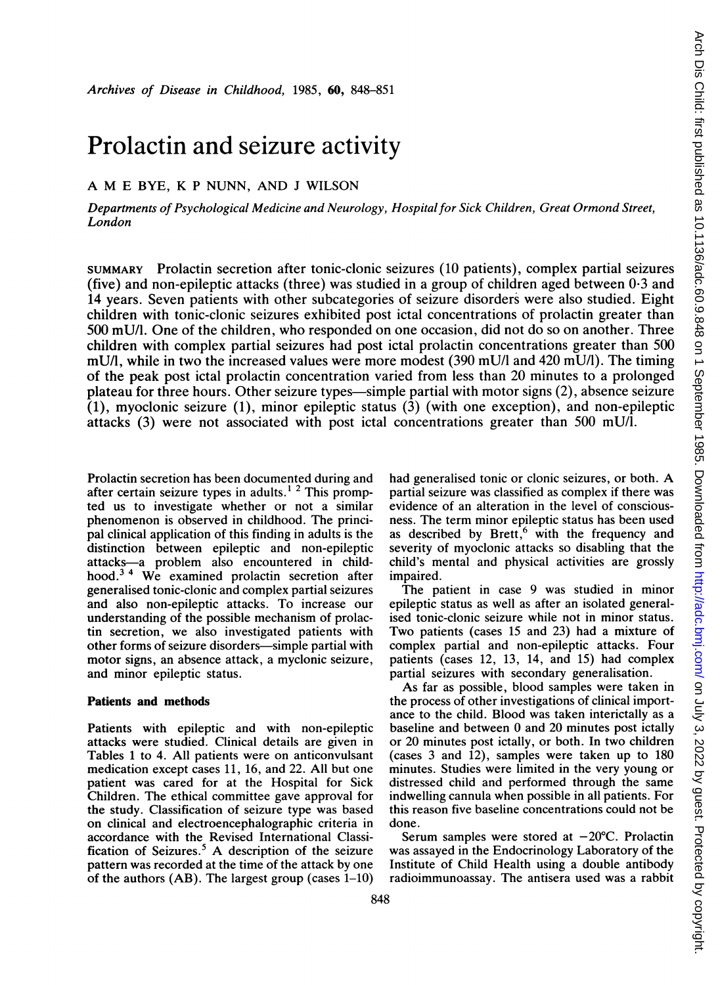# Prolactin and seizure activity

## A M E BYE, K <sup>P</sup> NUNN, AND <sup>J</sup> WILSON

Departments of Psychological Medicine and Neurology, Hospitalfor Sick Children, Great Ormond Street, London

SUMMARY Prolactin secretion after tonic-clonic seizures (10 patients), complex partial seizures (five) and non-epileptic attacks (three) was studied in a group of children aged between 0-3 and 14 years. Seven patients with other subcategories of seizure disorders were also studied. Eight children with tonic-clonic seizures exhibited post ictal concentrations of prolactin greater than 500 mU/l. One of the children, who responded on one occasion, did not do so on another. Three children with complex partial seizures had post ictal prolactin concentrations greater than 500 mU/l, while in two the increased values were more modest (390 mU/l and 420 mU/l). The timing of the peak post ictal prolactin concentration varied from less than 20 minutes to a prolonged plateau for three hours. Other seizure types-simple partial with motor signs (2), absence seizure (1), myoclonic seizure (1), minor epileptic status (3) (with one exception), and non-epileptic attacks (3) were not associated with post ictal concentrations greater than 500 mU/l.

Prolactin secretion has been documented during and after certain seizure types in adults.<sup>1</sup> <sup>2</sup> This prompted us to investigate whether or not a similar phenomenon is observed in childhood. The principal clinical application of this finding in adults is the distinction between epileptic and non-epileptic attacks-a problem also encountered in childhood.<sup>34</sup> We examined prolactin secretion after generalised tonic-clonic and complex partial seizures and also non-epileptic attacks. To increase our understanding of the possible mechanism of prolactin secretion, we also investigated patients with other forms of seizure disorders-simple partial with motor signs, an absence attack, a myclonic seizure, and minor epileptic status.

## Patients and methods

Patients with epileptic and with non-epileptic attacks were studied. Clinical details are given in Tables <sup>1</sup> to 4. All patients were on anticonvulsant medication except cases 11, 16, and 22. All but one patient was cared for at the Hospital for Sick Children. The ethical committee gave approval for the study. Classification of seizure type was based on clinical and electroencephalographic criteria in accordance with the Revised International Classification of Seizures.<sup>5</sup> A description of the seizure pattern was recorded at the time of the attack by one of the authors  $(AB)$ . The largest group (cases  $1-10$ ) had generalised tonic or clonic seizures, or both. A partial seizure was classified as complex if there was evidence of an alteration in the level of consciousness. The term minor epileptic status has been used as described by Brett, $6$  with the frequency and severity of myoclonic attacks so disabling that the child's mental and physical activities are grossly impaired.

The patient in case 9 was studied in minor epileptic status as well as after an isolated generalised tonic-clonic seizure while not in minor status. Two patients (cases <sup>15</sup> and 23) had <sup>a</sup> mixture of complex partial and non-epileptic attacks. Four patients (cases 12, 13, 14, and 15) had complex partial seizures with secondary generalisation.

As far as possible, blood samples were taken in the process of other investigations of clinical importance to the child. Blood was taken interictally as a baseline and between 0 and 20 minutes post ictally or 20 minutes post ictally, or both. In two children (cases 3 and 12), samples were taken up to 180 minutes. Studies were limited in the very young or distressed child and performed through the same indwelling cannula when possible in all patients. For this reason five baseline concentrations could not be done.

Serum samples were stored at  $-20^{\circ}$ C. Prolactin was assayed in the Endocrinology Laboratory of the Institute of Child Health using a double antibody radioimmunoassay. The antisera used was a rabbit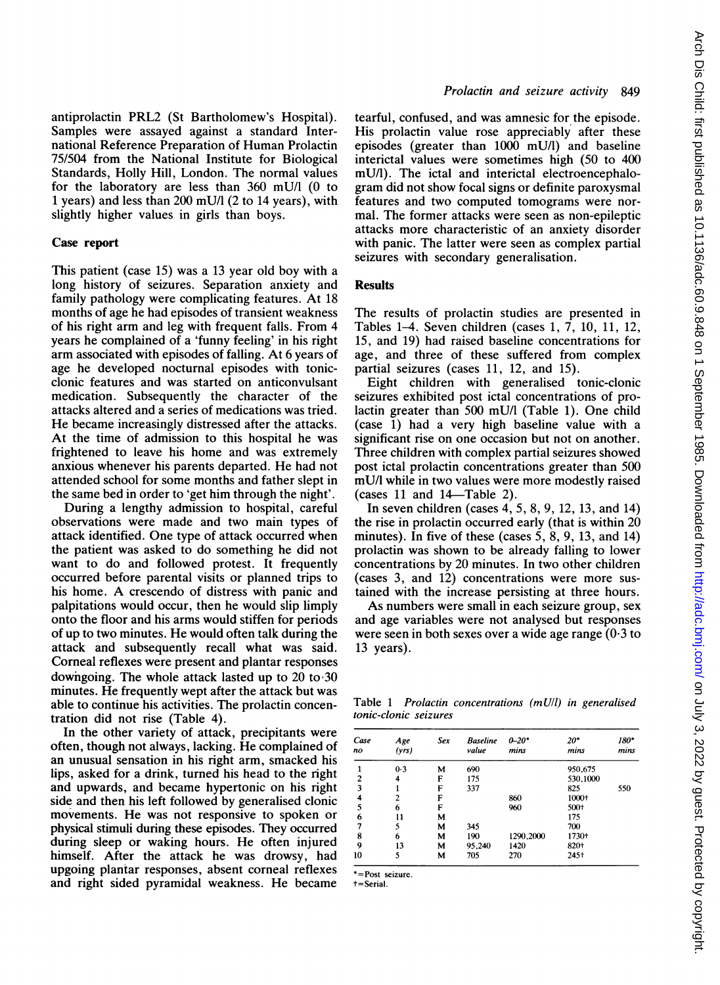antiprolactin PRL2 (St Bartholomew's Hospital). Samples were assayed against a standard International Reference Preparation of Human Prolactin 75/504 from the National Institute for Biological Standards, Holly Hill, London. The normal values for the laboratory are less than 360 mU/l (0 to <sup>1</sup> years) and less than 200 mU/l (2 to 14 years), with slightly higher values in girls than boys.

## Case report

This patient (case 15) was a 13 year old boy with a long history of seizures. Separation anxiety and family pathology were complicating features. At 18 months of age he had episodes of transient weakness of his right arm and leg with frequent falls. From 4 years he complained of a 'funny feeling' in his right arm associated with episodes of falling. At 6 years of age he developed nocturnal episodes with tonicclonic features and was started on anticonvulsant medication. Subsequently the character of the attacks altered and a series of medications was tried. He became increasingly distressed after the attacks. At the time of admission to this hospital he was frightened to leave his home and was extremely anxious whenever his parents departed. He had not attended school for some months and father slept in the same bed in order to 'get him through the night'.

During a lengthy admission to hospital, careful observations were made and two main types of attack identified. One type of attack occurred when the patient was asked to do something he did not want to do and followed protest. It frequently occurred before parental visits or planned trips to his home. A crescendo of distress with panic and palpitations would occur, then he would slip limply onto the floor and his arms would stiffen for periods of up to two minutes. He would often talk during the attack and subsequently recall what was said. Corneal reflexes were present and plantar responses downgoing. The whole attack lasted up to 20 to 30 minutes. He frequently wept after the attack but was able to continue his activities. The prolactin concentration did not rise (Table 4).

In the other variety of attack, precipitants were often, though not always, lacking. He complained of an unusual sensation in his right arm, smacked his lips, asked for a drink, turned his head to the right and upwards, and became hypertonic on his right side and then his left followed by generalised clonic movements. He was not responsive to spoken or physical stimuli during these episodes. They occurred during sleep or waking hours. He often injured himself. After the attack he was drowsy, had upgoing plantar responses, absent corneal reflexes and right sided pyramidal weakness. He became

#### Prolactin and seizure activity 849

tearful, confused, and was amnesic for the episode. His prolactin value rose appreciably after these episodes (greater than 1000 mU/l) and baseline interictal values were sometimes high (50 to 400 mU/l). The ictal and interictal electroencephalogram did not show focal signs or definite paroxysmal features and two computed tomograms were normal. The former attacks were seen as non-epileptic attacks more characteristic of an anxiety disorder with panic. The latter were seen as complex partial seizures with secondary generalisation.

#### Results

The results of prolactin studies are presented in Tables 1-4. Seven children (cases 1, 7, 10, 11, 12, 15, and 19) had raised baseline concentrations for age, and three of these suffered from complex partial seizures (cases 11, 12, and 15).

Eight children with generalised tonic-clonic seizures exhibited post ictal concentrations of prolactin greater than 500 mU/l (Table 1). One child (case 1) had a very high baseline value with a significant rise on one occasion but not on another. Three children with complex partial seizures showed post ictal prolactin concentrations greater than 500 mU/l while in two values were more modestly raised (cases  $11$  and  $14$ —Table 2).

In seven children (cases 4, 5, 8, 9, 12, 13, and 14) the rise in prolactin occurred early (that is within 20 minutes). In five of these (cases  $5, 8, 9, 13$ , and  $14$ ) prolactin was shown to be already falling to lower concentrations by 20 minutes. In two other children (cases 3, and 12) concentrations were more sustained with the increase persisting at three hours.

As numbers were small in each seizure group, sex and age variables were not analysed but responses were seen in both sexes over a wide age range (0-3 to 13 years).

Table 1 Prolactin concentrations (mU/l) in generalised tonic-clonic seizures

| Case<br>no | Age<br>(yrs) | Sex | <b>Baseline</b><br>value | $0 - 20^*$<br>mins | $20*$<br>mins | 180*<br>mins |
|------------|--------------|-----|--------------------------|--------------------|---------------|--------------|
| 1          | 0.3          | м   | 690                      |                    | 950.675       |              |
| 2          | 4            | F   | 175                      |                    | 530,1000      |              |
| 3          |              | F   | 337                      |                    | 825           | 550          |
| 4          | 2            | F   |                          | 860                | 1000+         |              |
| 5          | 6            | F   |                          | 960                | 500+          |              |
| 6          | 11           | м   |                          |                    | 175           |              |
| 7          | 5            | м   | 345                      |                    | 700           |              |
| 8          | 6            | М   | 190                      | 1290,2000          | 1730+         |              |
| 9          | 13           | M   | 95.240                   | 1420               | 820+          |              |
| 10         | 5            | м   | 705                      | 270                | 245+          |              |

\*=Post seizure.

 $t =$ Serial.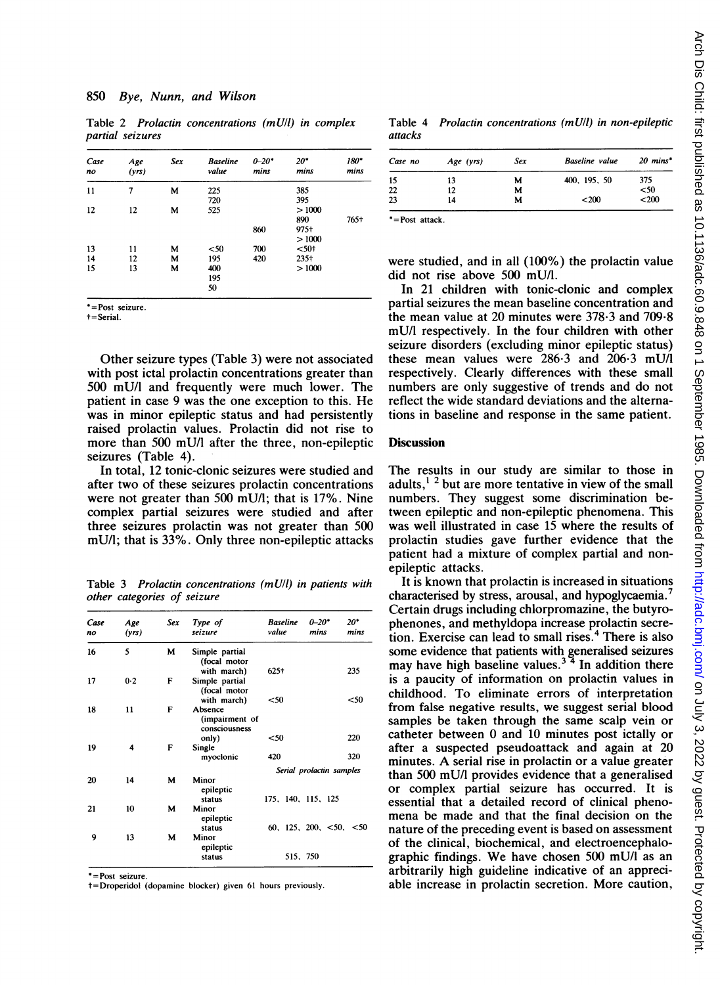Table 2 Prolactin concentrations (mU/I) in complex partial seizures

| Case<br>no | Age<br>(yrs) | Sex | <b>Baseline</b><br>value | $0 - 20^*$<br>mins | $20*$<br>mins | 180*<br>mins |
|------------|--------------|-----|--------------------------|--------------------|---------------|--------------|
| 11         | 7            | M   | 225                      |                    | 385           |              |
|            |              |     | 720                      |                    | 395           |              |
| 12         | 12           | M   | 525                      |                    | >1000         |              |
|            |              |     |                          |                    | 890           | 765+         |
|            |              |     |                          | 860                | 975+          |              |
|            |              |     |                          |                    | >1000         |              |
| 13         | 11           | М   | $50$                     | 700                | $< 50+$       |              |
| 14         | 12           | M   | 195                      | 420                | 235†          |              |
| 15         | 13           | М   | 400                      |                    | >1000         |              |
|            |              |     | 195                      |                    |               |              |
|            |              |     | 50                       |                    |               |              |

'=Post seizure.

t=Serial.

Other seizure types (Table 3) were not associated with post ictal prolactin concentrations greater than 500 mU/l and frequently were much lower. The patient in case 9 was the one exception to this. He was in minor epileptic status and had persistently raised prolactin values. Prolactin did not rise to more than 500 mU/l after the three, non-epileptic seizures (Table 4).

In total, 12 tonic-clonic seizures were studied and after two of these seizures prolactin concentrations were not greater than 500 mU/l; that is 17%. Nine complex partial seizures were studied and after three seizures prolactin was not greater than 500 mU/l; that is 33%. Only three non-epileptic attacks

Table 3 Prolactin concentrations (mU/I) in patients with other categories of seizure

| Case<br>no | Age<br>(vrs) | Sex | Type of<br>seizure                            | <b>Baseline</b><br>value          | $0 - 20^*$<br>mins       | $20*$<br>mins |
|------------|--------------|-----|-----------------------------------------------|-----------------------------------|--------------------------|---------------|
| 16         | 5            | M   | Simple partial<br>(focal motor                |                                   |                          |               |
| 17         | 0.2          | F   | with march)<br>Simple partial<br>(focal motor | 625+                              |                          | 235           |
| 18         | 11           | F   | with march)<br>Absence<br>(impairment of      | $50$                              |                          | $50$          |
| 19         | 4            | F   | consciousness<br>only)<br>Single<br>myoclonic | $50$<br>420                       |                          | 220<br>320    |
|            |              |     |                                               |                                   | Serial prolactin samples |               |
| 20         | 14           | M   | Minor<br>epileptic                            | 175, 140, 115, 125                |                          |               |
| 21         | 10           | м   | status<br>Minor<br>epileptic                  |                                   |                          |               |
| 9          | 13           | м   | status<br>Minor<br>epileptic                  | 60, 125, 200, $\lt 50$ , $\lt 50$ |                          |               |
|            |              |     | status                                        | 515, 750                          |                          |               |

\*=Post seizure.

t=Droperidol (dopamine blocker) given 61 hours previously.

Table 4 Prolactin concentrations (mU/I) in non-epileptic attacks

| Case no | Age (yrs) | Sex | Baseline value | $20$ mins <sup>*</sup> |
|---------|-----------|-----|----------------|------------------------|
| 15      | 13        | м   | 400, 195, 50   | 375                    |
| 22      | 12        | м   |                | $50$                   |
| 23      | 14        | м   | $200$          | $200$                  |

\*=Post attack.

were studied, and in all (100%) the prolactin value did not rise above 500 mU/l.

In 21 children with tonic-clonic and complex partial seizures the mean baseline concentration and the mean value at 20 minutes were 378-3 and 709-8 mU/l respectively. In the four children with other seizure disorders (excluding minor epileptic status) these mean values were  $286.3$  and  $206.3$  mU/l respectively. Clearly differences with these small numbers are only suggestive of trends and do not reflect the wide standard deviations and the alternations in baseline and response in the same patient.

## Discussion

The results in our study are similar to those in adults,  $1^{2}$  but are more tentative in view of the small numbers. They suggest some discrimination between epileptic and non-epileptic phenomena. This was well illustrated in case 15 where the results of prolactin studies gave further evidence that the patient had a mixture of complex partial and nonepileptic attacks.

It is known that prolactin is increased in situations characterised by stress, arousal, and hypoglycaemia.<sup>7</sup> Certain drugs including chlorpromazine, the butyrophenones, and methyldopa increase prolactin secretion. Exercise can lead to small rises.<sup>4</sup> There is also some evidence that patients with generalised seizures may have high baseline values.<sup>3</sup> <sup>4</sup> In addition there is a paucity of information on prolactin values in childhood. To eliminate errors of interpretation from false negative results, we suggest serial blood samples be taken through the same scalp vein or catheter between 0 and 10 minutes post ictally or after a suspected pseudoattack and again at 20 minutes. A serial rise in prolactin or <sup>a</sup> value greater than 500 mU/l provides evidence that a generalised or complex partial seizure has occurred. It is essential that a detailed record of clinical phenomena be made and that the final decision on the nature of the preceding event is based on assessment of the clinical, biochemical, and electroencephalographic findings. We have chosen <sup>500</sup> mU/l as an arbitrarily high guideline indicative of an appreciable increase in prolactin secretion. More caution,